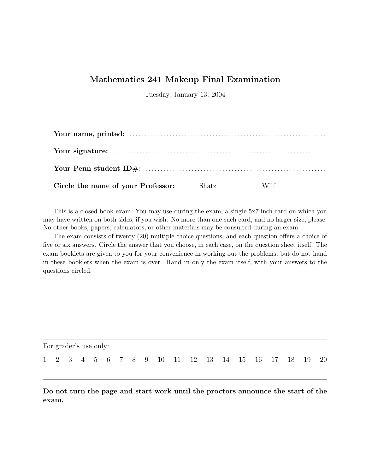## **Mathematics 241 Makeup Final Examination**

Tuesday, January 13, 2004

| Circle the name of your Professor: Shatz | Wilf |  |
|------------------------------------------|------|--|

This is a closed book exam. You may use during the exam, a single 5x7 inch card on which you may have written on both sides, if you wish. No more than one such card, and no larger size, please. No other books, papers, calculators, or other materials may be consulted during an exam.

The exam consists of twenty (20) multiple choice questions, and each question offers a choice of five or six answers. Circle the answer that you choose, in each case, on the question sheet itself. The exam booklets are given to you for your convenience in working out the problems, but do not hand in these booklets when the exam is over. Hand in only the exam itself, with your answers to the questions circled.

| For grader's use only: |  |  |  |  |  |  |  |  |  |  |  |  |  |  |  |  |  |                                                    |  |
|------------------------|--|--|--|--|--|--|--|--|--|--|--|--|--|--|--|--|--|----------------------------------------------------|--|
|                        |  |  |  |  |  |  |  |  |  |  |  |  |  |  |  |  |  | 1 2 3 4 5 6 7 8 9 10 11 12 13 14 15 16 17 18 19 20 |  |

**Do not turn the page and start work until the proctors announce the start of the exam.**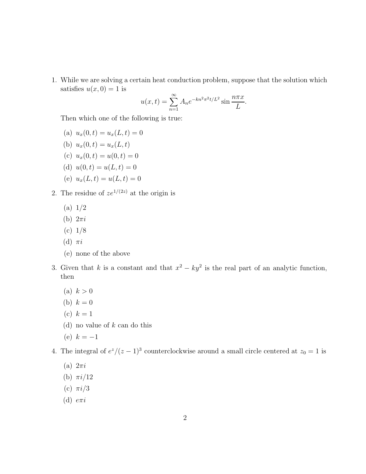1. While we are solving a certain heat conduction problem, suppose that the solution which satisfies  $u(x, 0) = 1$  is

$$
u(x,t) = \sum_{n=1}^{\infty} A_n e^{-kn^2 \pi^2 t/L^2} \sin \frac{n \pi x}{L}.
$$

Then which one of the following is true:

- (a)  $u_x(0,t) = u_x(L,t) = 0$
- (b)  $u_x(0,t) = u_x(L,t)$
- (c)  $u_x(0,t) = u(0,t) = 0$
- (d)  $u(0, t) = u(L, t) = 0$
- (e)  $u_x(L, t) = u(L, t) = 0$
- 2. The residue of  $ze^{1/(2z)}$  at the origin is
	- $(a) 1/2$
	- (b) 2*πi*
	- (c) 1/8
	- (d) *πi*
	- (e) none of the above
- 3. Given that *k* is a constant and that  $x^2 ky^2$  is the real part of an analytic function, then
	- (a)  $k > 0$
	- (b)  $k = 0$
	- (c)  $k = 1$
	- (d) no value of *k* can do this
	- (e)  $k = -1$
- 4. The integral of  $e^{z}/(z-1)^{3}$  counterclockwise around a small circle centered at  $z_{0}=1$  is
	- (a) 2*πi*
	- (b) *πi/*12
	- (c) *πi/*3
	- (d) *eπi*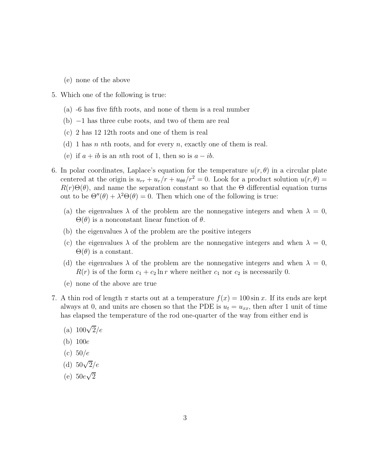- (e) none of the above
- 5. Which one of the following is true:
	- (a) -6 has five fifth roots, and none of them is a real number
	- (b) −1 has three cube roots, and two of them are real
	- (c) 2 has 12 12th roots and one of them is real
	- (d) 1 has *n n*th roots, and for every *n*, exactly one of them is real.
	- (e) if  $a + ib$  is an *n*th root of 1, then so is  $a ib$ .
- 6. In polar coordinates, Laplace's equation for the temperature  $u(r, \theta)$  in a circular plate centered at the origin is  $u_{rr} + u_r/r + u_{\theta\theta}/r^2 = 0$ . Look for a product solution  $u(r, \theta) =$  $R(r)\Theta(\theta)$ , and name the separation constant so that the  $\Theta$  differential equation turns out to be  $\Theta''(\theta) + \lambda^2 \Theta(\theta) = 0$ . Then which one of the following is true:
	- (a) the eigenvalues  $\lambda$  of the problem are the nonnegative integers and when  $\lambda = 0$ , Θ(*θ*) is a nonconstant linear function of *θ*.
	- (b) the eigenvalues  $\lambda$  of the problem are the positive integers
	- (c) the eigenvalues  $\lambda$  of the problem are the nonnegative integers and when  $\lambda = 0$ ,  $\Theta(\theta)$  is a constant.
	- (d) the eigenvalues  $\lambda$  of the problem are the nonnegative integers and when  $\lambda = 0$ ,  $R(r)$  is of the form  $c_1 + c_2 \ln r$  where neither  $c_1$  nor  $c_2$  is necessarily 0.
	- (e) none of the above are true
- 7. A thin rod of length  $\pi$  starts out at a temperature  $f(x) = 100 \sin x$ . If its ends are kept always at 0, and units are chosen so that the PDE is  $u_t = u_{xx}$ , then after 1 unit of time has elapsed the temperature of the rod one-quarter of the way from either end is
	- (a)  $100\sqrt{2}/e$
	- (b) 100*e*
	- (c) 50*/e*
	- (d) 50√2*/e*
	- (e)  $50e\sqrt{2}$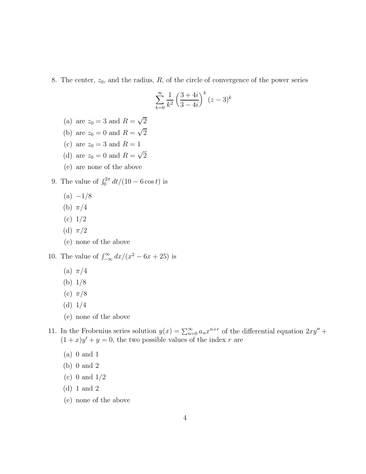8. The center,  $z_0$ , and the radius,  $R$ , of the circle of convergence of the power series

$$
\sum_{k=0}^{\infty} \frac{1}{k^2} \left( \frac{3+4i}{3-4i} \right)^k (z-3)^k
$$

- (a) are  $z_0 = 3$  and  $R = \sqrt{2}$
- (b) are  $z_0 = 0$  and  $R = \sqrt{2}$
- (c) are  $z_0 = 3$  and  $R = 1$
- (d) are  $z_0 = 0$  and  $R = \sqrt{2}$
- (e) are none of the above
- 9. The value of  $\int_0^{2\pi} dt/(10 6 \cos t)$  is
	- (a) −1*/*8
	- (b) *π/*4
	- (c) 1*/*2
	- (d) *π/*2
	- (e) none of the above
- 10. The value of  $\int_{-\infty}^{\infty} dx/(x^2 6x + 25)$  is
	- (a) *π/*4
	- (b) 1*/*8
	- (c) *π/*8
	- (d) 1*/*4
	- (e) none of the above
- 11. In the Frobenius series solution  $y(x) = \sum_{n=0}^{\infty} a_n x^{n+r}$  of the differential equation  $2xy'' +$  $(1 + x)y' + y = 0$ , the two possible values of the index *r* are
	- (a) 0 and 1
	- (b) 0 and 2
	- (c) 0 and 1/2
	- (d) 1 and 2
	- (e) none of the above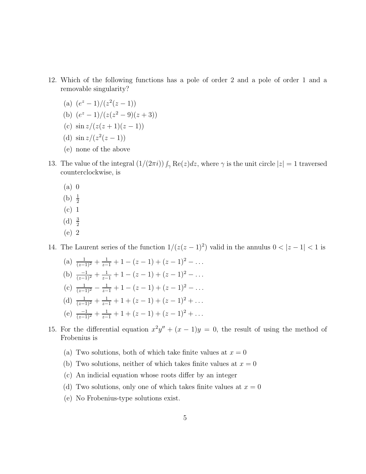- 12. Which of the following functions has a pole of order 2 and a pole of order 1 and a removable singularity?
	- (a)  $(e^z 1)/(z^2(z 1))$
	- (b)  $(e^z 1)/(z(z^2 9)(z + 3))$
	- (c)  $\sin z/(z(z+1)(z-1))$
	- (d)  $\sin z/(z^2(z-1))$
	- (e) none of the above
- 13. The value of the integral  $(1/(2\pi i)) \int_{\gamma} \text{Re}(z) dz$ , where  $\gamma$  is the unit circle  $|z| = 1$  traversed counterclockwise, is
	- (a) 0
	- (b)  $\frac{1}{2}$
	- (c) 1
	- (d)  $\frac{3}{2}$
	- (e) 2
- 14. The Laurent series of the function  $1/(z(z-1)^2)$  valid in the annulus  $0 < |z-1| < 1$  is
	- (a)  $\frac{1}{(z-1)^2} + \frac{1}{z-1} + 1 (z-1) + (z-1)^2 \dots$ (b)  $\frac{-1}{(z-1)^2} + \frac{1}{z-1} + 1 - (z-1) + (z-1)^2 - \dots$ (c)  $\frac{1}{(z-1)^2} - \frac{1}{z-1} + 1 - (z-1) + (z-1)^2 - \dots$ (d)  $\frac{1}{(z-1)^2} + \frac{1}{z-1} + 1 + (z-1) + (z-1)^2 + \dots$ (e)  $\frac{-1}{(z-1)^2} + \frac{1}{z-1} + 1 + (z-1) + (z-1)^2 + \dots$
- 15. For the differential equation  $x^2y'' + (x 1)y = 0$ , the result of using the method of Frobenius is
	- (a) Two solutions, both of which take finite values at  $x = 0$
	- (b) Two solutions, neither of which takes finite values at  $x = 0$
	- (c) An indicial equation whose roots differ by an integer
	- (d) Two solutions, only one of which takes finite values at  $x = 0$
	- (e) No Frobenius-type solutions exist.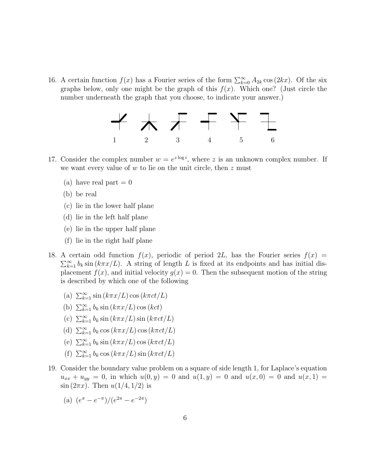16. A certain function  $f(x)$  has a Fourier series of the form  $\sum_{k=0}^{\infty} A_{2k} \cos(2kx)$ . Of the six graphs below, only one might be the graph of this  $f(x)$ . Which one? (Just circle the number underneath the graph that you choose, to indicate your answer.)



- 17. Consider the complex number  $w = e^{z \log i}$ , where *z* is an unknown complex number. If we want every value of *w* to lie on the unit circle, then *z* must
	- (a) have real part  $= 0$
	- (b) be real
	- (c) lie in the lower half plane
	- (d) lie in the left half plane
	- (e) lie in the upper half plane
	- (f) lie in the right half plane
- 18. A certain odd function  $f(x)$ , periodic of period 2*L*, has the Fourier series  $f(x)$  =  $\sum_{k=1}^{\infty} b_k \sin(k\pi x/L)$ . A string of length *L* is fixed at its endpoints and has initial displacement  $f(x)$ , and initial velocity  $g(x) = 0$ . Then the subsequent motion of the string is described by which one of the following
	- (a)  $\sum_{k=1}^{\infty} \sin(k\pi x/L) \cos(k\pi ct/L)$
	- (b)  $\sum_{k=1}^{\infty} b_k \sin(k\pi x/L) \cos(kct)$
	- (c)  $\sum_{k=1}^{\infty} b_k \sin(k\pi x/L) \sin(k\pi ct/L)$
	- (d)  $\sum_{k=1}^{\infty} b_k \cos(k\pi x/L) \cos(k\pi ct/L)$
	- (e)  $\sum_{k=1}^{\infty} b_k \sin(k\pi x/L) \cos(k\pi ct/L)$
	- (f)  $\sum_{k=1}^{\infty} b_k \cos(k\pi x/L) \sin(k\pi ct/L)$
- 19. Consider the boundary value problem on a square of side length 1, for Laplace's equation  $u_{xx} + u_{yy} = 0$ , in which  $u(0, y) = 0$  and  $u(1, y) = 0$  and  $u(x, 0) = 0$  and  $u(x, 1) = 0$  $\sin(2\pi x)$ . Then  $u(1/4, 1/2)$  is
	- (a)  $(e^{\pi} e^{-\pi})/(e^{2\pi} e^{-2\pi})$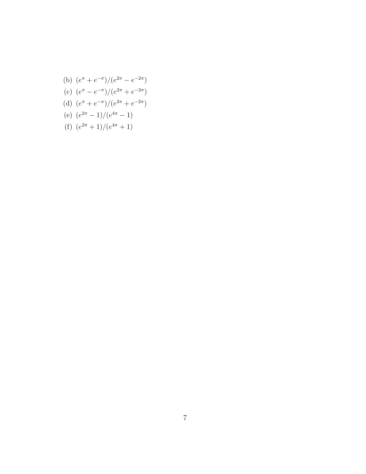- (f)  $(e^{2\pi}+1)/(e^{4\pi}+1)$
- (e)  $(e^{2\pi} 1)/(e^{4\pi} 1)$
- 
- 
- 
- (d)  $(e^{\pi} + e^{-\pi})/(e^{2\pi} + e^{-2\pi})$
- 
- 
- (c)  $(e^{\pi} e^{-\pi})/(e^{2\pi} + e^{-2\pi})$
- (b)  $(e^{\pi} + e^{-\pi})/(e^{2\pi} e^{-2\pi})$ 
	-

7